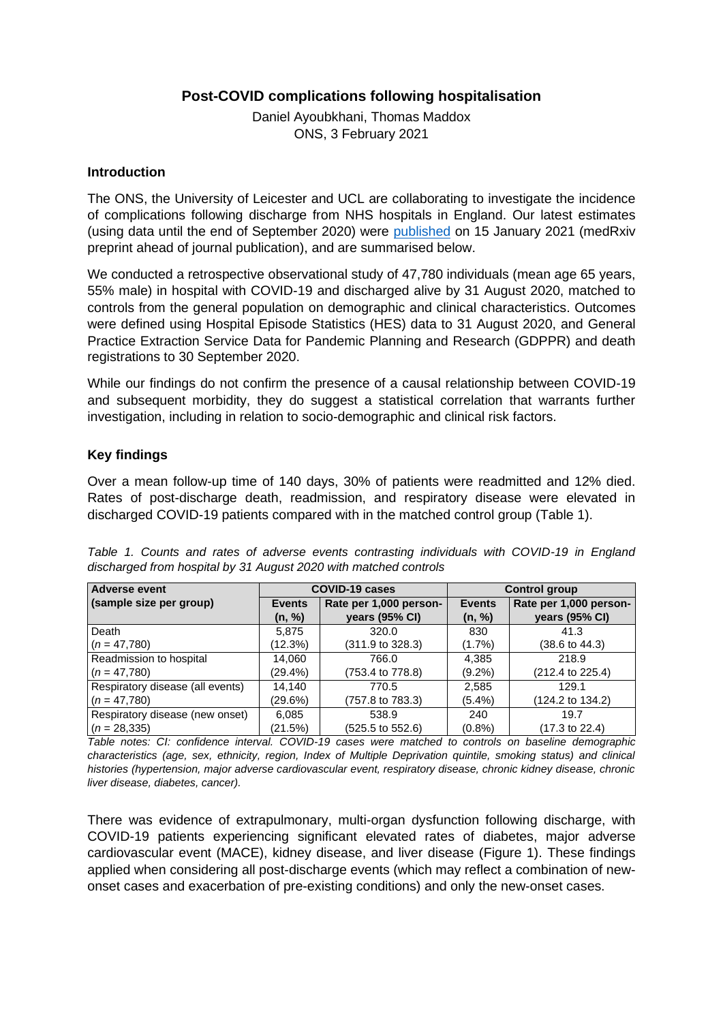## **Post-COVID complications following hospitalisation**

Daniel Ayoubkhani, Thomas Maddox ONS, 3 February 2021

## **Introduction**

The ONS, the University of Leicester and UCL are collaborating to investigate the incidence of complications following discharge from NHS hospitals in England. Our latest estimates (using data until the end of September 2020) were published on 15 January 2021 (medRxiv preprint ahead of journal publication), and are summarised below.

We conducted a retrospective observational study of 47,780 individuals (mean age 65 years, 55% male) in hospital with COVID-19 and discharged alive by 31 August 2020, matched to controls from the general population on demographic and clinical characteristics. Outcomes were defined using Hospital Episode Statistics (HES) data to 31 August 2020, and General Practice Extraction Service Data for Pandemic Planning and Research (GDPPR) and death registrations to 30 September 2020.

While our findings do not confirm the presence of a causal relationship between COVID-19 and subsequent morbidity, they do suggest a statistical correlation that warrants further investigation, including in relation to socio-demographic and clinical risk factors.

## **Key findings**

Over a mean follow-up time of 140 days, 30% of patients were readmitted and 12% died. Rates of post-discharge death, readmission, and respiratory disease were elevated in discharged COVID-19 patients compared with in the matched control group (Table 1).

| <b>Adverse event</b>             | <b>COVID-19 cases</b> |                             | <b>Control group</b> |                             |
|----------------------------------|-----------------------|-----------------------------|----------------------|-----------------------------|
| (sample size per group)          | <b>Events</b>         | Rate per 1,000 person-      | <b>Events</b>        | Rate per 1,000 person-      |
|                                  | (n, %)                | years (95% CI)              | (n, %)               | years (95% CI)              |
| Death                            | 5.875                 | 320.0                       | 830                  | 41.3                        |
| $(n = 47,780)$                   | (12.3%)               | $(311.9 \text{ to } 328.3)$ | $(1.7\%)$            | $(38.6 \text{ to } 44.3)$   |
| Readmission to hospital          | 14,060                | 766.0                       | 4,385                | 218.9                       |
| $(n = 47,780)$                   | $(29.4\%)$            | (753.4 to 778.8)            | $(9.2\%)$            | (212.4 to 225.4)            |
| Respiratory disease (all events) | 14,140                | 770.5                       | 2,585                | 129.1                       |
| $(n = 47,780)$                   | (29.6%)               | (757.8 to 783.3)            | $(5.4\%)$            | $(124.2 \text{ to } 134.2)$ |
| Respiratory disease (new onset)  | 6,085                 | 538.9                       | 240                  | 19.7                        |
| $(n = 28, 335)$                  | (21.5%)               | (525.5 to 552.6)            | $(0.8\%)$            | $(17.3 \text{ to } 22.4)$   |

*Table 1. Counts and rates of adverse events contrasting individuals with COVID-19 in England discharged from hospital by 31 August 2020 with matched controls*

*Table notes: CI: confidence interval. COVID-19 cases were matched to controls on baseline demographic characteristics (age, sex, ethnicity, region, Index of Multiple Deprivation quintile, smoking status) and clinical histories (hypertension, major adverse cardiovascular event, respiratory disease, chronic kidney disease, chronic liver disease, diabetes, cancer).*

There was evidence of extrapulmonary, multi-organ dysfunction following discharge, with COVID-19 patients experiencing significant elevated rates of diabetes, major adverse cardiovascular event (MACE), kidney disease, and liver disease (Figure 1). These findings applied when considering all post-discharge events (which may reflect a combination of newonset cases and exacerbation of pre-existing conditions) and only the new-onset cases.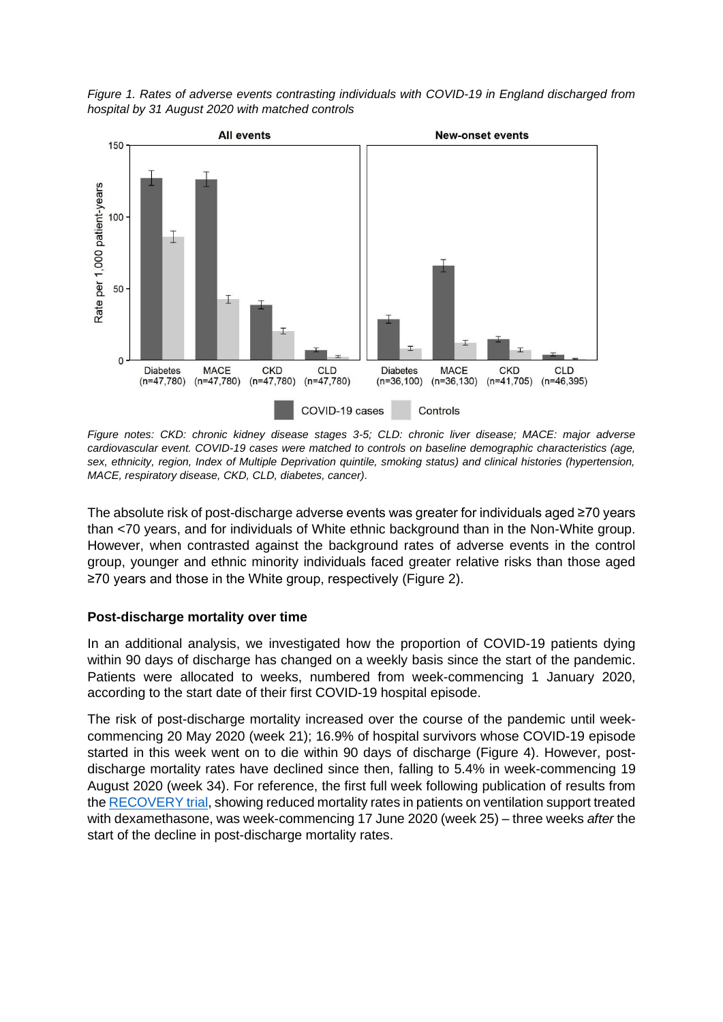*Figure 1. Rates of adverse events contrasting individuals with COVID-19 in England discharged from hospital by 31 August 2020 with matched controls*



*Figure notes: CKD: chronic kidney disease stages 3-5; CLD: chronic liver disease; MACE: major adverse cardiovascular event. COVID-19 cases were matched to controls on baseline demographic characteristics (age, sex, ethnicity, region, Index of Multiple Deprivation quintile, smoking status) and clinical histories (hypertension, MACE, respiratory disease, CKD, CLD, diabetes, cancer).*

The absolute risk of post-discharge adverse events was greater for individuals aged ≥70 years than <70 years, and for individuals of White ethnic background than in the Non-White group. However, when contrasted against the background rates of adverse events in the control group, younger and ethnic minority individuals faced greater relative risks than those aged ≥70 years and those in the White group, respectively (Figure 2).

## **Post-discharge mortality over time**

In an additional analysis, we investigated how the proportion of COVID-19 patients dying within 90 days of discharge has changed on a weekly basis since the start of the pandemic. Patients were allocated to weeks, numbered from week-commencing 1 January 2020, according to the start date of their first COVID-19 hospital episode.

The risk of post-discharge mortality increased over the course of the pandemic until weekcommencing 20 May 2020 (week 21); 16.9% of hospital survivors whose COVID-19 episode started in this week went on to die within 90 days of discharge (Figure 4). However, postdischarge mortality rates have declined since then, falling to 5.4% in week-commencing 19 August 2020 (week 34). For reference, the first full week following publication of results from the RECOVERY trial, showing reduced mortality rates in patients on ventilation support treated with dexamethasone, was week-commencing 17 June 2020 (week 25) – three weeks *after* the start of the decline in post-discharge mortality rates.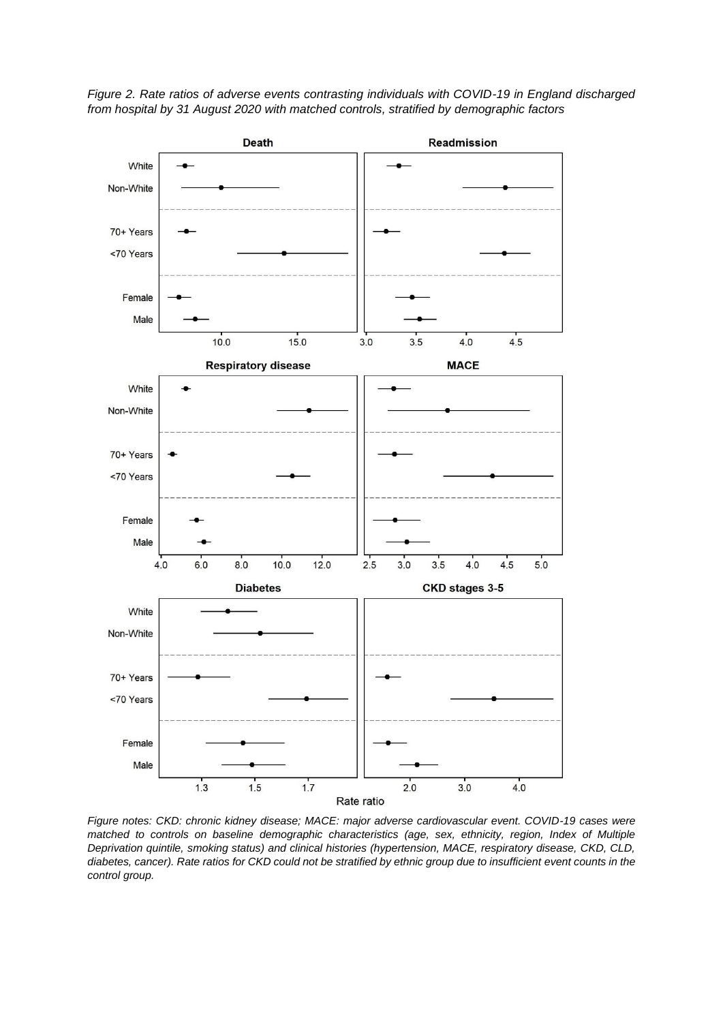*Figure 2. Rate ratios of adverse events contrasting individuals with COVID-19 in England discharged from hospital by 31 August 2020 with matched controls, stratified by demographic factors*



*Figure notes: CKD: chronic kidney disease; MACE: major adverse cardiovascular event. COVID-19 cases were matched to controls on baseline demographic characteristics (age, sex, ethnicity, region, Index of Multiple Deprivation quintile, smoking status) and clinical histories (hypertension, MACE, respiratory disease, CKD, CLD, diabetes, cancer). Rate ratios for CKD could not be stratified by ethnic group due to insufficient event counts in the control group.*